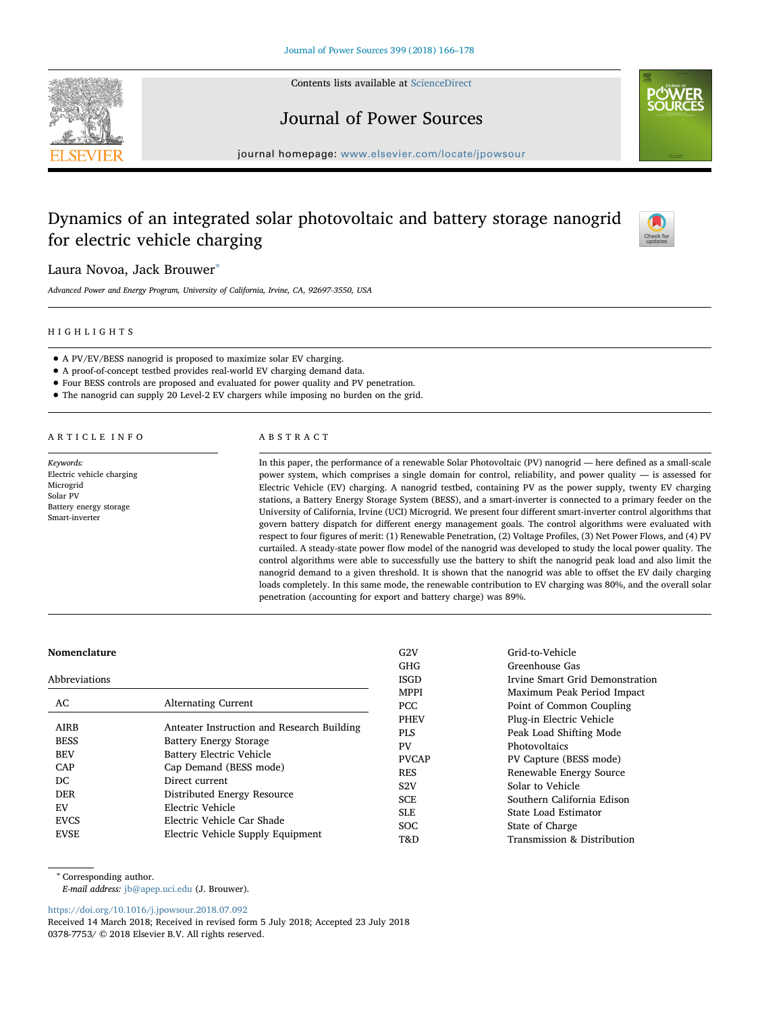

Contents lists available at [ScienceDirect](http://www.sciencedirect.com/science/journal/03787753)

## Journal of Power Sources



journal homepage: [www.elsevier.com/locate/jpowsour](https://www.elsevier.com/locate/jpowsour)

# Dynamics of an integrated solar photovoltaic and battery storage nanogrid for electric vehicle charging



Laura Novoa, Jack Brouwer[∗](#page-0-0)

Advanced Power and Energy Program, University of California, Irvine, CA, 92697-3550, USA

### HIGHLIGHTS

- A PV/EV/BESS nanogrid is proposed to maximize solar EV charging.
- A proof-of-concept testbed provides real-world EV charging demand data.
- Four BESS controls are proposed and evaluated for power quality and PV penetration.
- The nanogrid can supply 20 Level-2 EV chargers while imposing no burden on the grid.

ARTICLE INFO

Keywords: Electric vehicle charging Microgrid Solar PV Battery energy storage Smart-inverter

## ABSTRACT

In this paper, the performance of a renewable Solar Photovoltaic (PV) nanogrid — here defined as a small-scale power system, which comprises a single domain for control, reliability, and power quality — is assessed for Electric Vehicle (EV) charging. A nanogrid testbed, containing PV as the power supply, twenty EV charging stations, a Battery Energy Storage System (BESS), and a smart-inverter is connected to a primary feeder on the University of California, Irvine (UCI) Microgrid. We present four different smart-inverter control algorithms that govern battery dispatch for different energy management goals. The control algorithms were evaluated with respect to four figures of merit: (1) Renewable Penetration, (2) Voltage Profiles, (3) Net Power Flows, and (4) PV curtailed. A steady-state power flow model of the nanogrid was developed to study the local power quality. The control algorithms were able to successfully use the battery to shift the nanogrid peak load and also limit the nanogrid demand to a given threshold. It is shown that the nanogrid was able to offset the EV daily charging loads completely. In this same mode, the renewable contribution to EV charging was 80%, and the overall solar penetration (accounting for export and battery charge) was 89%.

#### Nomenclature

| Abbreviations |                                            |  |
|---------------|--------------------------------------------|--|
| AC.           | <b>Alternating Current</b>                 |  |
| <b>AIRB</b>   | Anteater Instruction and Research Building |  |
| <b>BESS</b>   | <b>Battery Energy Storage</b>              |  |
| <b>BEV</b>    | Battery Electric Vehicle                   |  |
| CAP           | Cap Demand (BESS mode)                     |  |
| DC.           | Direct current                             |  |
| <b>DER</b>    | Distributed Energy Resource                |  |
| F.V           | Electric Vehicle                           |  |
| <b>EVCS</b>   | Electric Vehicle Car Shade                 |  |
| <b>EVSE</b>   | Electric Vehicle Supply Equipment          |  |
|               |                                            |  |

G2V Grid-to-Vehicle GHG Greenhouse Gas ISGD Irvine Smart Grid Demonstration MPPI Maximum Peak Period Impact PCC Point of Common Coupling PHEV Plug-in Electric Vehicle PLS Peak Load Shifting Mode PV<br>PVCAP PVCapture (1 PV Capture (BESS mode) RES Renewable Energy Source S2V Solar to Vehicle SCE Southern California Edison SLE State Load Estimator SOC State of Charge T&D Transmission & Distribution

<span id="page-0-0"></span><sup>∗</sup> Corresponding author.

E-mail address: [jb@apep.uci.edu](mailto:jb@apep.uci.edu) (J. Brouwer).

<https://doi.org/10.1016/j.jpowsour.2018.07.092>

Received 14 March 2018; Received in revised form 5 July 2018; Accepted 23 July 2018 0378-7753/ © 2018 Elsevier B.V. All rights reserved.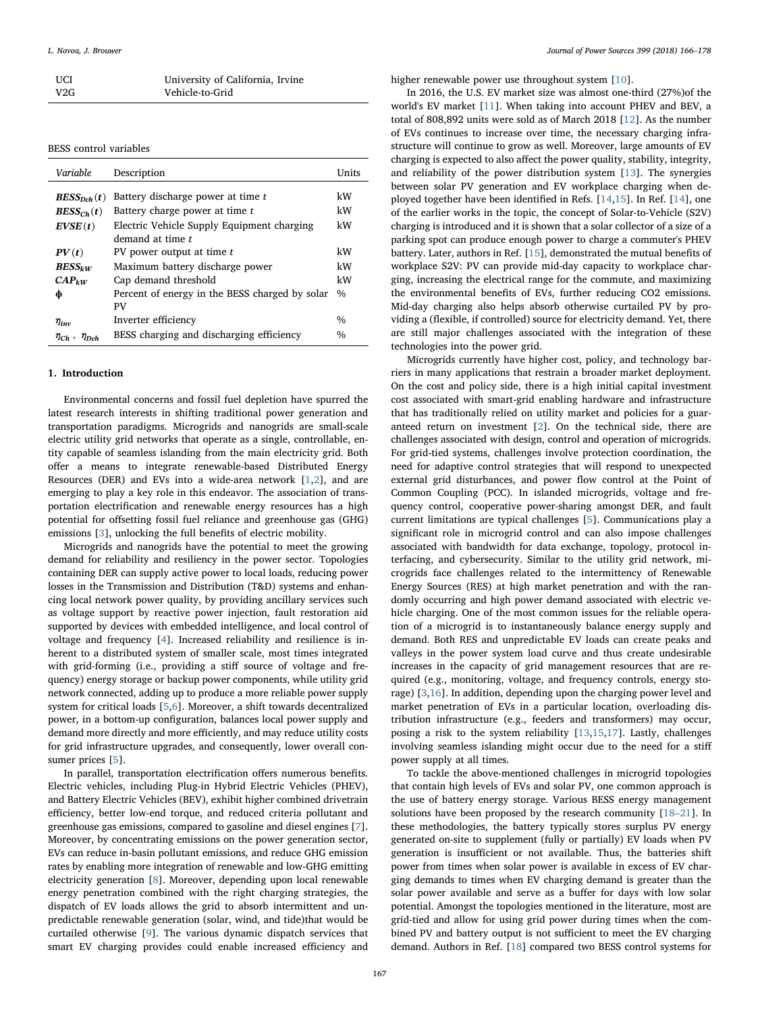| UCI | University of California, Irvine |
|-----|----------------------------------|
| V2G | Vehicle-to-Grid                  |

BESS control variables

| Variable                   | Description                                    | Units         |
|----------------------------|------------------------------------------------|---------------|
| $BESS_{Dch}(t)$            | Battery discharge power at time t              | kW            |
| $BESS_{Ch}(t)$             | Battery charge power at time t                 | kW            |
| EVSE(t)                    | Electric Vehicle Supply Equipment charging     | kW            |
|                            | demand at time t                               |               |
| PV(t)                      | PV power output at time t                      | kW            |
| $BESS_{kW}$                | Maximum battery discharge power                | kW            |
| $CAP_{kW}$                 | Cap demand threshold                           | kW            |
| ф                          | Percent of energy in the BESS charged by solar | $\frac{0}{0}$ |
|                            | PV                                             |               |
| $\eta_{inv}$               | Inverter efficiency                            | $\frac{0}{0}$ |
| $\eta_{Ch}$ , $\eta_{Dch}$ | BESS charging and discharging efficiency       | $\frac{0}{0}$ |

#### 1. Introduction

Environmental concerns and fossil fuel depletion have spurred the latest research interests in shifting traditional power generation and transportation paradigms. Microgrids and nanogrids are small-scale electric utility grid networks that operate as a single, controllable, entity capable of seamless islanding from the main electricity grid. Both offer a means to integrate renewable-based Distributed Energy Resources (DER) and EVs into a wide-area network [\[1,](#page--1-0)[2](#page--1-1)], and are emerging to play a key role in this endeavor. The association of transportation electrification and renewable energy resources has a high potential for offsetting fossil fuel reliance and greenhouse gas (GHG) emissions [\[3](#page--1-2)], unlocking the full benefits of electric mobility.

Microgrids and nanogrids have the potential to meet the growing demand for reliability and resiliency in the power sector. Topologies containing DER can supply active power to local loads, reducing power losses in the Transmission and Distribution (T&D) systems and enhancing local network power quality, by providing ancillary services such as voltage support by reactive power injection, fault restoration aid supported by devices with embedded intelligence, and local control of voltage and frequency [\[4\]](#page--1-3). Increased reliability and resilience is inherent to a distributed system of smaller scale, most times integrated with grid-forming (i.e., providing a stiff source of voltage and frequency) energy storage or backup power components, while utility grid network connected, adding up to produce a more reliable power supply system for critical loads [\[5,](#page--1-4)[6](#page--1-5)]. Moreover, a shift towards decentralized power, in a bottom-up configuration, balances local power supply and demand more directly and more efficiently, and may reduce utility costs for grid infrastructure upgrades, and consequently, lower overall con-sumer prices [[5](#page--1-4)].

In parallel, transportation electrification offers numerous benefits. Electric vehicles, including Plug-in Hybrid Electric Vehicles (PHEV), and Battery Electric Vehicles (BEV), exhibit higher combined drivetrain efficiency, better low-end torque, and reduced criteria pollutant and greenhouse gas emissions, compared to gasoline and diesel engines [[7](#page--1-6)]. Moreover, by concentrating emissions on the power generation sector, EVs can reduce in-basin pollutant emissions, and reduce GHG emission rates by enabling more integration of renewable and low-GHG emitting electricity generation [[8](#page--1-7)]. Moreover, depending upon local renewable energy penetration combined with the right charging strategies, the dispatch of EV loads allows the grid to absorb intermittent and unpredictable renewable generation (solar, wind, and tide)that would be curtailed otherwise [[9\]](#page--1-8). The various dynamic dispatch services that smart EV charging provides could enable increased efficiency and

higher renewable power use throughout system [\[10](#page--1-9)].

In 2016, the U.S. EV market size was almost one-third (27%)of the world's EV market [\[11](#page--1-10)]. When taking into account PHEV and BEV, a total of 808,892 units were sold as of March 2018 [\[12](#page--1-11)]. As the number of EVs continues to increase over time, the necessary charging infrastructure will continue to grow as well. Moreover, large amounts of EV charging is expected to also affect the power quality, stability, integrity, and reliability of the power distribution system [[13\]](#page--1-12). The synergies between solar PV generation and EV workplace charging when deployed together have been identified in Refs. [[14,](#page--1-13)[15](#page--1-14)]. In Ref. [\[14\]](#page--1-13), one of the earlier works in the topic, the concept of Solar-to-Vehicle (S2V) charging is introduced and it is shown that a solar collector of a size of a parking spot can produce enough power to charge a commuter's PHEV battery. Later, authors in Ref. [[15](#page--1-14)], demonstrated the mutual benefits of workplace S2V: PV can provide mid-day capacity to workplace charging, increasing the electrical range for the commute, and maximizing the environmental benefits of EVs, further reducing CO2 emissions. Mid-day charging also helps absorb otherwise curtailed PV by providing a (flexible, if controlled) source for electricity demand. Yet, there are still major challenges associated with the integration of these technologies into the power grid.

Microgrids currently have higher cost, policy, and technology barriers in many applications that restrain a broader market deployment. On the cost and policy side, there is a high initial capital investment cost associated with smart-grid enabling hardware and infrastructure that has traditionally relied on utility market and policies for a guaranteed return on investment [\[2\]](#page--1-1). On the technical side, there are challenges associated with design, control and operation of microgrids. For grid-tied systems, challenges involve protection coordination, the need for adaptive control strategies that will respond to unexpected external grid disturbances, and power flow control at the Point of Common Coupling (PCC). In islanded microgrids, voltage and frequency control, cooperative power-sharing amongst DER, and fault current limitations are typical challenges [\[5\]](#page--1-4). Communications play a significant role in microgrid control and can also impose challenges associated with bandwidth for data exchange, topology, protocol interfacing, and cybersecurity. Similar to the utility grid network, microgrids face challenges related to the intermittency of Renewable Energy Sources (RES) at high market penetration and with the randomly occurring and high power demand associated with electric vehicle charging. One of the most common issues for the reliable operation of a microgrid is to instantaneously balance energy supply and demand. Both RES and unpredictable EV loads can create peaks and valleys in the power system load curve and thus create undesirable increases in the capacity of grid management resources that are required (e.g., monitoring, voltage, and frequency controls, energy storage) [\[3,](#page--1-2)[16\]](#page--1-15). In addition, depending upon the charging power level and market penetration of EVs in a particular location, overloading distribution infrastructure (e.g., feeders and transformers) may occur, posing a risk to the system reliability [\[13](#page--1-12),[15](#page--1-14),[17\]](#page--1-16). Lastly, challenges involving seamless islanding might occur due to the need for a stiff power supply at all times.

To tackle the above-mentioned challenges in microgrid topologies that contain high levels of EVs and solar PV, one common approach is the use of battery energy storage. Various BESS energy management solutions have been proposed by the research community [\[18](#page--1-17)–21]. In these methodologies, the battery typically stores surplus PV energy generated on-site to supplement (fully or partially) EV loads when PV generation is insufficient or not available. Thus, the batteries shift power from times when solar power is available in excess of EV charging demands to times when EV charging demand is greater than the solar power available and serve as a buffer for days with low solar potential. Amongst the topologies mentioned in the literature, most are grid-tied and allow for using grid power during times when the combined PV and battery output is not sufficient to meet the EV charging demand. Authors in Ref. [\[18](#page--1-17)] compared two BESS control systems for